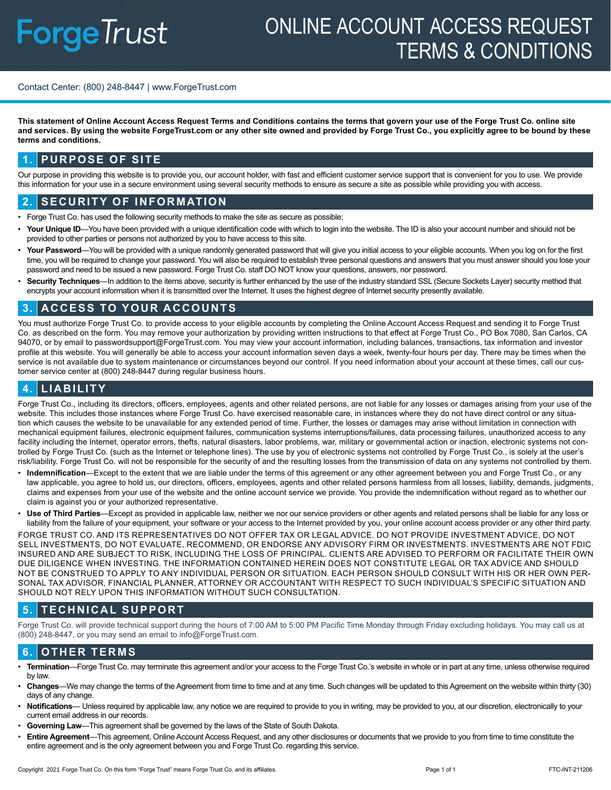# **ForgeTrust**

## ONLINE ACCOUNT ACCESS REQUEST TERMS & CONDITIONS

### Contact Center: (800) 248-8447 | www.ForgeTrust.com

**This statement of Online Account Access Request Terms and Conditions contains the terms that govern your use of the Forge Trust Co. online site and services. By using the website ForgeTrust.com or any other site owned and provided by Forge Trust Co., you explicitly agree to be bound by these terms and conditions.** 

### **1. PURPOSE OF SITE**

Our purpose in providing this website is to provide you, our account holder, with fast and efficient customer service support that is convenient for you to use. We provide this information for your use in a secure environment using several security methods to ensure as secure a site as possible while providing you with access.

### **2. SECURITY OF INFORMATION**

- Forge Trust Co. has used the following security methods to make the site as secure as possible;
- Your Unique ID—You have been provided with a unique identification code with which to login into the website. The ID is also your account number and should not be provided to other parties or persons not authorized by you to have access to this site.
- Your Password—You will be provided with a unique randomly generated password that will give you initial access to your eligible accounts. When you log on for the first time, you will be required to change your password. You will also be required to establish three personal questions and answers that you must answer should you lose your password and need to be issued a new password. Forge Trust Co. staff DO NOT know your questions, answers, nor password.
- **Security Techniques**—In addition to the items above, security is further enhanced by the use of the industry standard SSL (Secure Sockets Layer) security method that encrypts your account information when it is transmitted over the Internet. It uses the highest degree of Internet security presently available.

### **3. ACCESS TO YOUR ACCOUNTS**

You must authorize Forge Trust Co. to provide access to your eligible accounts by completing the Online Account Access Request and sending it to Forge Trust Co. as described on the form. You may remove your authorization by providing written instructions to that effect at Forge Trust Co., PO Box 7080, San Carlos, CA 94070, or by email to passwordsupport@ForgeTrust.com. You may view your account information, including balances, transactions, tax information and investor profile at this website. You will generally be able to access your account information seven days a week, twenty-four hours per day. There may be times when the service is not available due to system maintenance or circumstances beyond our control. If you need information about your account at these times, call our customer service center at (800) 248-8447 during regular business hours.

### **4. LIABILITY**

Forge Trust Co., including its directors, officers, employees, agents and other related persons, are not liable for any losses or damages arising from your use of the website. This includes those instances where Forge Trust Co. have exercised reasonable care, in instances where they do not have direct control or any situation which causes the website to be unavailable for any extended period of time. Further, the losses or damages may arise without limitation in connection with mechanical equipment failures, electronic equipment failures, communication systems interruptions/failures, data processing failures, unauthorized access to any facility including the Internet, operator errors, thefts, natural disasters, labor problems, war, military or governmental action or inaction, electronic systems not controlled by Forge Trust Co. (such as the Internet or telephone lines). The use by you of electronic systems not controlled by Forge Trust Co., is solely at the user's risk/liability. Forge Trust Co. will not be responsible for the security of and the resulting losses from the transmission of data on any systems not controlled by them.

- **Indemnification**—Except to the extent that we are liable under the terms of this agreement or any other agreement between you and Forge Trust Co., or any law applicable, you agree to hold us, our directors, officers, employees, agents and other related persons harmless from all losses, liability, demands, judgments, claims and expenses from your use of the website and the online account service we provide. You provide the indemnification without regard as to whether our claim is against you or your authorized representative.
- **Use of Third Parties**—Except as provided in applicable law, neither we nor our service providers or other agents and related persons shall be liable for any loss or liability from the failure of your equipment, your software or your access to the Internet provided by you, your online account access provider or any other third party.

FORGE TRUST CO. AND ITS REPRESENTATIVES DO NOT OFFER TAX OR LEGAL ADVICE. DO NOT PROVIDE INVESTMENT ADVICE, DO NOT SELL INVESTMENTS, DO NOT EVALUATE, RECOMMEND, OR ENDORSE ANY ADVISORY FIRM OR INVESTMENTS. INVESTMENTS ARE NOT FDIC INSURED AND ARE SUBJECT TO RISK, INCLUDING THE LOSS OF PRINCIPAL. CLIENTS ARE ADVISED TO PERFORM OR FACILITATE THEIR OWN DUE DILIGENCE WHEN INVESTING. THE INFORMATION CONTAINED HEREIN DOES NOT CONSTITUTE LEGAL OR TAX ADVICE AND SHOULD NOT BE CONSTRUED TO APPLY TO ANY INDIVIDUAL PERSON OR SITUATION. EACH PERSON SHOULD CONSULT WITH HIS OR HER OWN PER-SONAL TAX ADVISOR, FINANCIAL PLANNER, ATTORNEY OR ACCOUNTANT WITH RESPECT TO SUCH INDIVIDUAL'S SPECIFIC SITUATION AND SHOULD NOT RELY UPON THIS INFORMATION WITHOUT SUCH CONSULTATION.

### **5. TECHNICAL SUPPORT**

Forge Trust Co. will provide technical support during the hours of 7:00 AM to 5:00 PM Pacific Time Monday through Friday excluding holidays. You may call us at (800) 248-8447, or you may send an email to info@ForgeTrust.com.

### **6. OTHER TERMS**

- **Termination**—Forge Trust Co. may terminate this agreement and/or your access to the Forge Trust Co.'s website in whole or in part at any time, unless otherwise required by law.
- **Changes**—We may change the terms of the Agreement from time to time and at any time. Such changes will be updated to this Agreement on the website within thirty (30) days of any change.
- Notifications— Unless required by applicable law, any notice we are required to provide to you in writing, may be provided to you, at our discretion, electronically to your current email address in our records.
- **Governing Law**—This agreement shall be governed by the laws of the State of South Dakota.
- **Entire Agreement**—This agreement, Online Account Access Request, and any other disclosures or documents that we provide to you from time to time constitute the entire agreement and is the only agreement between you and Forge Trust Co. regarding this service.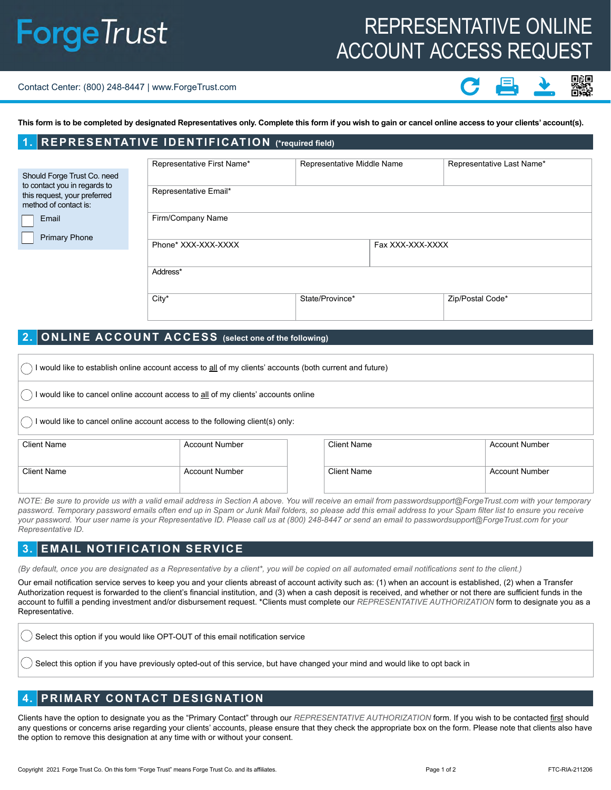## **ForgeTrust**

### REPRESENTATIVE ONLINE ACCOUNT ACCESS REQUEST

#### Contact Center: (800) 248-8447 | www.ForgeTrust.com

**This form is to be completed by designated Representatives only. Complete this form if you wish to gain or cancel online access to your clients' account(s).**

### **1. REPRESENTATIVE IDENTIFICATION (\*required field)**

|                                                                                                                      |                      | Representative First Name* | Representative Middle Name |                  | Representative Last Name* |          |
|----------------------------------------------------------------------------------------------------------------------|----------------------|----------------------------|----------------------------|------------------|---------------------------|----------|
| Should Forge Trust Co. need<br>to contact you in regards to<br>this request, your preferred<br>method of contact is: |                      |                            |                            |                  |                           |          |
|                                                                                                                      |                      | Representative Email*      |                            |                  |                           |          |
|                                                                                                                      | Email                | Firm/Company Name          |                            |                  |                           |          |
|                                                                                                                      | <b>Primary Phone</b> |                            |                            |                  |                           |          |
|                                                                                                                      |                      | Phone* XXX-XXX-XXXX        |                            | Fax XXX-XXX-XXXX |                           |          |
|                                                                                                                      |                      |                            |                            |                  |                           | Address* |
|                                                                                                                      |                      | City*                      | State/Province*            |                  | Zip/Postal Code*          |          |

### **2. ONLINE ACCOUNT ACCESS (select one of the following)**

| would like to establish online account access to all of my clients' accounts (both current and future) |                       |                    |                       |  |  |  |  |
|--------------------------------------------------------------------------------------------------------|-----------------------|--------------------|-----------------------|--|--|--|--|
| would like to cancel online account access to all of my clients' accounts online                       |                       |                    |                       |  |  |  |  |
| I would like to cancel online account access to the following client(s) only:                          |                       |                    |                       |  |  |  |  |
| <b>Client Name</b>                                                                                     | <b>Account Number</b> | <b>Client Name</b> | <b>Account Number</b> |  |  |  |  |
| <b>Client Name</b>                                                                                     | <b>Account Number</b> | <b>Client Name</b> | <b>Account Number</b> |  |  |  |  |

*NOTE: Be sure to provide us with a valid email address in Section A above. You will receive an email from passwordsupport@ForgeTrust.com with your temporary*  password. Temporary password emails often end up in Spam or Junk Mail folders, so please add this email address to your Spam filter list to ensure you receive *your password. Your user name is your Representative ID. Please call us at (800) 248-8447 or send an email to passwordsupport@ForgeTrust.com for your Representative ID.*

### **3. EMAIL NOTIFICATION SERVICE**

*(By default, once you are designated as a Representative by a client\*, you will be copied on all automated email notifications sent to the client.)*

Our email notification service serves to keep you and your clients abreast of account activity such as: (1) when an account is established, (2) when a Transfer Authorization request is forwarded to the client's financial institution, and (3) when a cash deposit is received, and whether or not there are sufficient funds in the account to fulfill a pending investment and/or disbursement request. \*Clients must complete our *REPRESENTATIVE AUTHORIZATION* form to designate you as a Representative.

Select this option if you would like OPT-OUT of this email notification service

Select this option if you have previously opted-out of this service, but have changed your mind and would like to opt back in

### **4. PRIMARY CONTACT DESIGNATION**

Clients have the option to designate you as the "Primary Contact" through our *REPRESENTATIVE AUTHORIZATION* form. If you wish to be contacted first should any questions or concerns arise regarding your clients' accounts, please ensure that they check the appropriate box on the form. Please note that clients also have the option to remove this designation at any time with or without your consent.